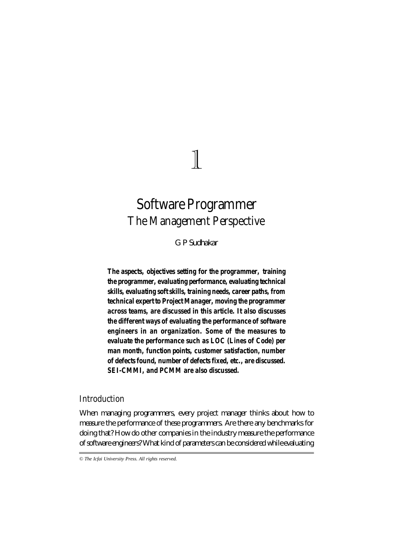# **Software Programmer The Management Perspective**

 $\parallel$ 

*G P Sudhakar*

*The aspects, objectives setting for the programmer, training the programmer, evaluating performance, evaluating technical skills, evaluating soft skills, training needs, career paths, from technical expert to Project Manager, moving the programmer across teams, are discussed in this article. It also discusses the different ways of evaluating the performance of software engineers in an organization. Some of the measures to evaluate the performance such as LOC (Lines of Code) per man month, function points, customer satisfaction, number of defects found, number of defects fixed, etc., are discussed. SEI-CMMI, and PCMM are also discussed.*

#### **Introduction**

When managing programmers, every project manager thinks about how to measure the performance of these programmers. Are there any benchmarks for doing that? How do other companies in the industry measure the performance of software engineers? What kind of parameters can be considered while evaluating

*© The Icfai University Press. All rights reserved.*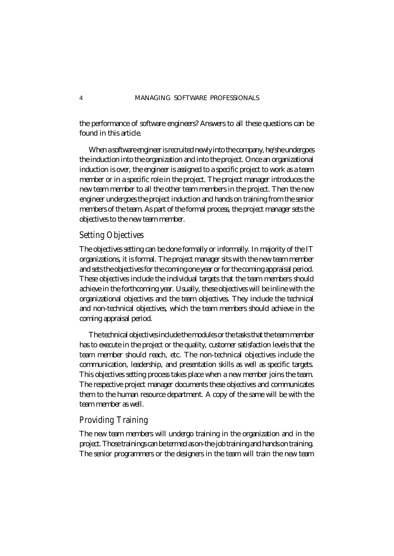the performance of software engineers? Answers to all these questions can be found in this article.

When a software engineer is recruited newly into the company, he/she undergoes the induction into the organization and into the project. Once an organizational induction is over, the engineer is assigned to a specific project to work as a team member or in a specific role in the project. The project manager introduces the new team member to all the other team members in the project. Then the new engineer undergoes the project induction and hands on training from the senior members of the team. As part of the formal process, the project manager sets the objectives to the new team member.

## **Setting Objectives**

The objectives setting can be done formally or informally. In majority of the IT organizations, it is formal. The project manager sits with the new team member and sets the objectives for the coming one year or for the coming appraisal period. These objectives include the individual targets that the team members should achieve in the forthcoming year. Usually, these objectives will be inline with the organizational objectives and the team objectives. They include the technical and non-technical objectives, which the team members should achieve in the coming appraisal period.

The technical objectives include the modules or the tasks that the team member has to execute in the project or the quality, customer satisfaction levels that the team member should reach, etc. The non-technical objectives include the communication, leadership, and presentation skills as well as specific targets. This objectives setting process takes place when a new member joins the team. The respective project manager documents these objectives and communicates them to the human resource department. A copy of the same will be with the team member as well.

#### **Providing Training**

The new team members will undergo training in the organization and in the project. Those trainings can be termed as on-the-job training and hands on training. The senior programmers or the designers in the team will train the new team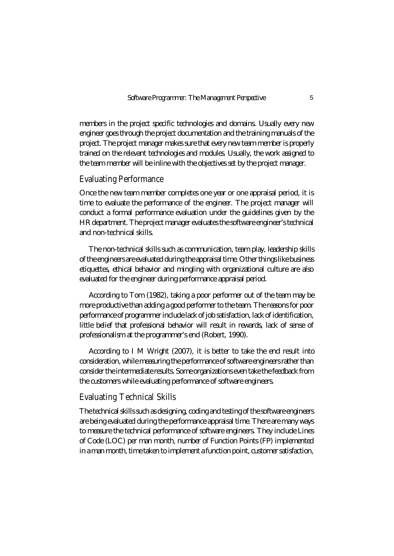members in the project specific technologies and domains. Usually every new engineer goes through the project documentation and the training manuals of the project. The project manager makes sure that every new team member is properly trained on the relevant technologies and modules. Usually, the work assigned to the team member will be inline with the objectives set by the project manager.

#### **Evaluating Performance**

Once the new team member completes one year or one appraisal period, it is time to evaluate the performance of the engineer. The project manager will conduct a formal performance evaluation under the guidelines given by the HR department. The project manager evaluates the software engineer's technical and non-technical skills.

The non-technical skills such as communication, team play, leadership skills of the engineers are evaluated during the appraisal time. Other things like business etiquettes, ethical behavior and mingling with organizational culture are also evaluated for the engineer during performance appraisal period.

According to Tom (1982), taking a poor performer out of the team may be more productive than adding a good performer to the team. The reasons for poor performance of programmer include lack of job satisfaction, lack of identification, little belief that professional behavior will result in rewards, lack of sense of professionalism at the programmer's end (Robert, 1990).

According to I M Wright (2007), it is better to take the end result into consideration, while measuring the performance of software engineers rather than consider the intermediate results. Some organizations even take the feedback from the customers while evaluating performance of software engineers.

## **Evaluating Technical Skills**

The technical skills such as designing, coding and testing of the software engineers are being evaluated during the performance appraisal time. There are many ways to measure the technical performance of software engineers. They include Lines of Code (LOC) per man month, number of Function Points (FP) implemented in a man month, time taken to implement a function point, customer satisfaction,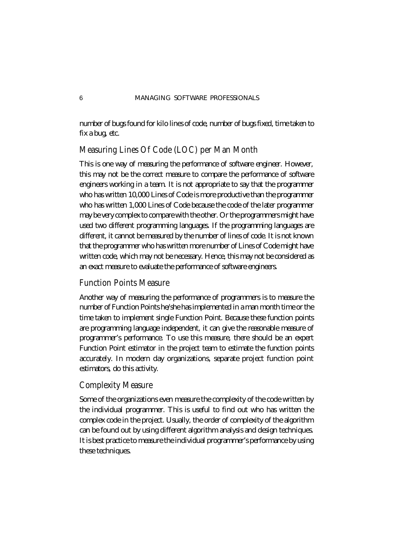number of bugs found for kilo lines of code, number of bugs fixed, time taken to fix a bug, etc.

## **Measuring Lines Of Code (LOC) per Man Month**

This is one way of measuring the performance of software engineer. However, this may not be the correct measure to compare the performance of software engineers working in a team. It is not appropriate to say that the programmer who has written 10,000 Lines of Code is more productive than the programmer who has written 1,000 Lines of Code because the code of the later programmer may be very complex to compare with the other. Or the programmers might have used two different programming languages. If the programming languages are different, it cannot be measured by the number of lines of code. It is not known that the programmer who has written more number of Lines of Code might have written code, which may not be necessary. Hence, this may not be considered as an exact measure to evaluate the performance of software engineers.

#### **Function Points Measure**

Another way of measuring the performance of programmers is to measure the number of Function Points he/she has implemented in a man month time or the time taken to implement single Function Point. Because these function points are programming language independent, it can give the reasonable measure of programmer's performance. To use this measure, there should be an expert Function Point estimator in the project team to estimate the function points accurately. In modern day organizations, separate project function point estimators, do this activity.

## **Complexity Measure**

Some of the organizations even measure the complexity of the code written by the individual programmer. This is useful to find out who has written the complex code in the project. Usually, the order of complexity of the algorithm can be found out by using different algorithm analysis and design techniques. It is best practice to measure the individual programmer's performance by using these techniques.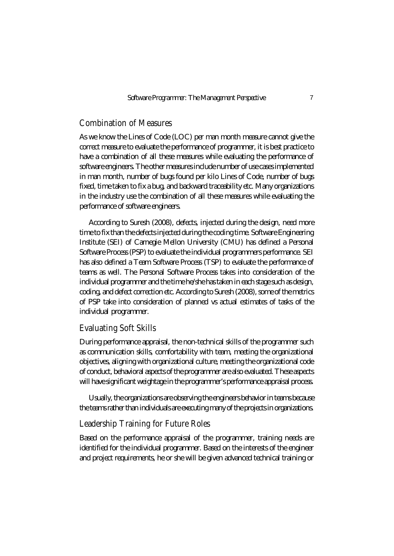#### **Combination of Measures**

As we know the Lines of Code (LOC) per man month measure cannot give the correct measure to evaluate the performance of programmer, it is best practice to have a combination of all these measures while evaluating the performance of software engineers. The other measures include number of use cases implemented in man month, number of bugs found per kilo Lines of Code, number of bugs fixed, time taken to fix a bug, and backward traceability etc. Many organizations in the industry use the combination of all these measures while evaluating the performance of software engineers.

According to Suresh (2008), defects, injected during the design, need more time to fix than the defects injected during the coding time. Software Engineering Institute (SEI) of Carnegie Mellon University (CMU) has defined a Personal Software Process (PSP) to evaluate the individual programmers performance. SEI has also defined a Team Software Process (TSP) to evaluate the performance of teams as well. The Personal Software Process takes into consideration of the individual programmer and the time he/she has taken in each stage such as design, coding, and defect correction etc. According to Suresh (2008), some of the metrics of PSP take into consideration of planned vs actual estimates of tasks of the individual programmer.

#### **Evaluating Soft Skills**

During performance appraisal, the non-technical skills of the programmer such as communication skills, comfortability with team, meeting the organizational objectives, aligning with organizational culture, meeting the organizational code of conduct, behavioral aspects of the programmer are also evaluated. These aspects will have significant weightage in the programmer's performance appraisal process.

Usually, the organizations are observing the engineers behavior in teams because the teams rather than individuals are executing many of the projects in organizations.

#### **Leadership Training for Future Roles**

Based on the performance appraisal of the programmer, training needs are identified for the individual programmer. Based on the interests of the engineer and project requirements, he or she will be given advanced technical training or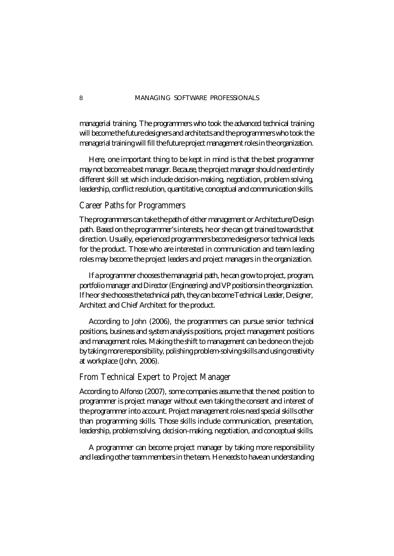managerial training. The programmers who took the advanced technical training will become the future designers and architects and the programmers who took the managerial training will fill the future project management roles in the organization.

Here, one important thing to be kept in mind is that the best programmer may not become a best manager. Because, the project manager should need entirely different skill set which include decision-making, negotiation, problem solving, leadership, conflict resolution, quantitative, conceptual and communication skills.

#### **Career Paths for Programmers**

The programmers can take the path of either management or Architecture/Design path. Based on the programmer's interests, he or she can get trained towards that direction. Usually, experienced programmers become designers or technical leads for the product. Those who are interested in communication and team leading roles may become the project leaders and project managers in the organization.

If a programmer chooses the managerial path, he can grow to project, program, portfolio manager and Director (Engineering) and VP positions in the organization. If he or she chooses the technical path, they can become Technical Leader, Designer, Architect and Chief Architect for the product.

According to John (2006), the programmers can pursue senior technical positions, business and system analysis positions, project management positions and management roles. Making the shift to management can be done on the job by taking more responsibility, polishing problem-solving skills and using creativity at workplace (John, 2006).

## **From Technical Expert to Project Manager**

According to Alfonso (2007), some companies assume that the next position to programmer is project manager without even taking the consent and interest of the programmer into account. Project management roles need special skills other than programming skills. Those skills include communication, presentation, leadership, problem solving, decision-making, negotiation, and conceptual skills.

A programmer can become project manager by taking more responsibility and leading other team members in the team. He needs to have an understanding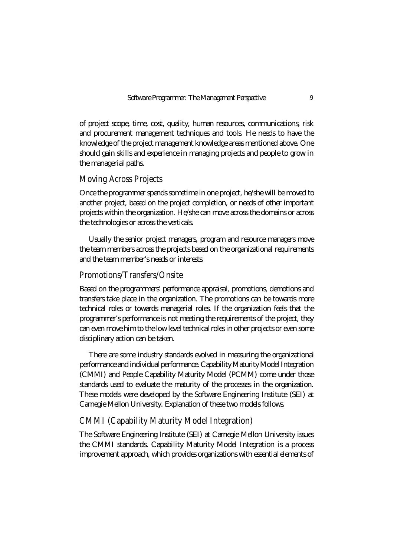of project scope, time, cost, quality, human resources, communications, risk and procurement management techniques and tools. He needs to have the knowledge of the project management knowledge areas mentioned above. One should gain skills and experience in managing projects and people to grow in the managerial paths.

## **Moving Across Projects**

Once the programmer spends sometime in one project, he/she will be moved to another project, based on the project completion, or needs of other important projects within the organization. He/she can move across the domains or across the technologies or across the verticals.

Usually the senior project managers, program and resource managers move the team members across the projects based on the organizational requirements and the team member's needs or interests.

## **Promotions/Transfers/Onsite**

Based on the programmers' performance appraisal, promotions, demotions and transfers take place in the organization. The promotions can be towards more technical roles or towards managerial roles. If the organization feels that the programmer's performance is not meeting the requirements of the project, they can even move him to the low level technical roles in other projects or even some disciplinary action can be taken.

There are some industry standards evolved in measuring the organizational performance and individual performance. Capability Maturity Model Integration (CMMI) and People Capability Maturity Model (PCMM) come under those standards used to evaluate the maturity of the processes in the organization. These models were developed by the Software Engineering Institute (SEI) at Carnegie Mellon University. Explanation of these two models follows.

## **CMMI (Capability Maturity Model Integration)**

The Software Engineering Institute (SEI) at Carnegie Mellon University issues the CMMI standards. Capability Maturity Model Integration is a process improvement approach, which provides organizations with essential elements of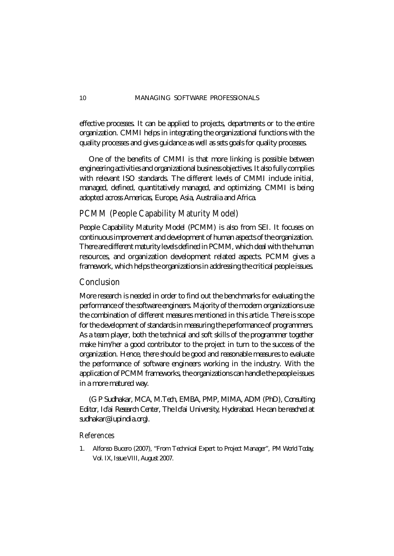effective processes. It can be applied to projects, departments or to the entire organization. CMMI helps in integrating the organizational functions with the quality processes and gives guidance as well as sets goals for quality processes.

One of the benefits of CMMI is that more linking is possible between engineering activities and organizational business objectives. It also fully complies with relevant ISO standards. The different levels of CMMI include initial, managed, defined, quantitatively managed, and optimizing. CMMI is being adopted across Americas, Europe, Asia, Australia and Africa.

# **PCMM (People Capability Maturity Model)**

People Capability Maturity Model (PCMM) is also from SEI. It focuses on continuous improvement and development of human aspects of the organization. There are different maturity levels defined in PCMM, which deal with the human resources, and organization development related aspects. PCMM gives a framework, which helps the organizations in addressing the critical people issues.

#### **Conclusion**

More research is needed in order to find out the benchmarks for evaluating the performance of the software engineers. Majority of the modern organizations use the combination of different measures mentioned in this article. There is scope for the development of standards in measuring the performance of programmers. As a team player, both the technical and soft skills of the programmer together make him/her a good contributor to the project in turn to the success of the organization. Hence, there should be good and reasonable measures to evaluate the performance of software engineers working in the industry. With the application of PCMM frameworks, the organizations can handle the people issues in a more matured way.

*(G P Sudhakar, MCA, M.Tech, EMBA, PMP, MIMA, ADM (PhD), Consulting Editor, Icfai Research Center, The Icfai University, Hyderabad. He can be reached at sudhakar@iupindia.org).*

#### **References**

1. Alfonso Bucero (2007), "From Technical Expert to Project Manager", *PM World Today,* Vol. IX, Issue VIII, August 2007.